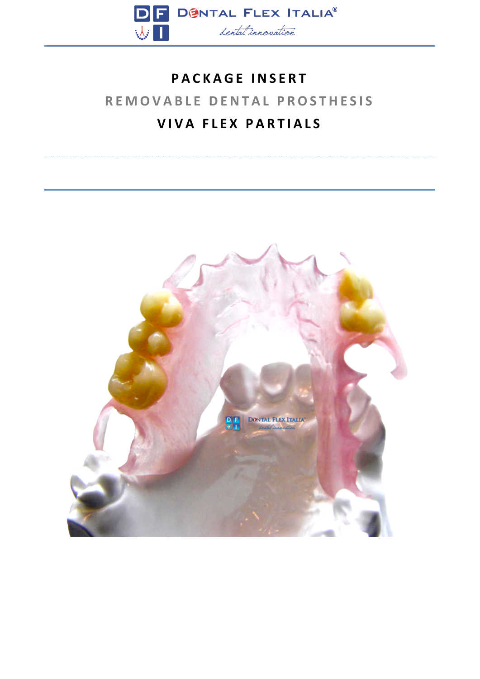

## **PACKAGE INSERT REMOVABLE DENTAL PROSTHESIS VIVA FLEX PARTIALS**

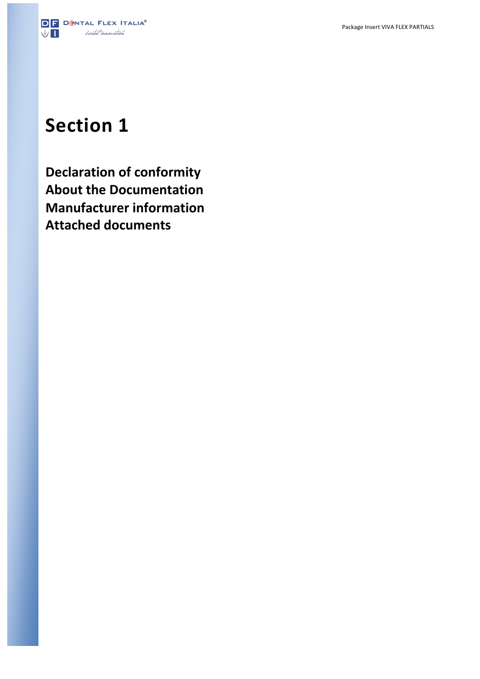

# **Section 1**

**Declaration of conformity About the Documentation Manufacturer information Attached documents**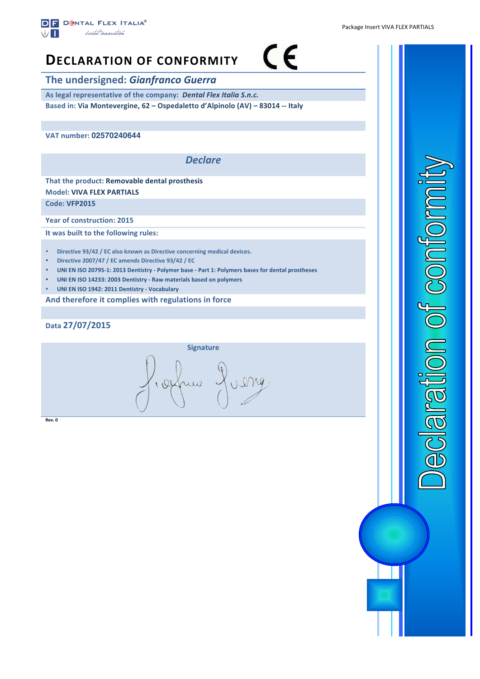

## $\epsilon$ **DECLARATION OF CONFORMITY The undersigned: Gianfranco Guerra** As legal representative of the company: Dental Flex Italia S.n.c. **Based in: Via Montevergine, 62 – Ospedaletto d'Alpinolo (AV) – 83014 -- Italy**

**VAT number: 02570240644** 

*Declare*

**That the product: Removable dental prosthesis Model: VIVA FLEX PARTIALS**

**Code: VFP2015**

**Year of construction: 2015** 

**It was built to the following rules:** 

- **Directive 93/42 / EC also known as Directive concerning medical devices.**
- **Directive 2007/47 / EC amends Directive 93/42 / EC**
- **UNI EN ISO 20795-1: 2013 Dentistry - Polymer base - Part 1: Polymers bases for dental prostheses**
- UNI EN ISO 14233: 2003 Dentistry Raw materials based on polymers
- **UNI EN ISO 1942: 2011 Dentistry - Vocabulary**

And therefore it complies with regulations in force

**Data 27/07/2015**



**Rev. 0**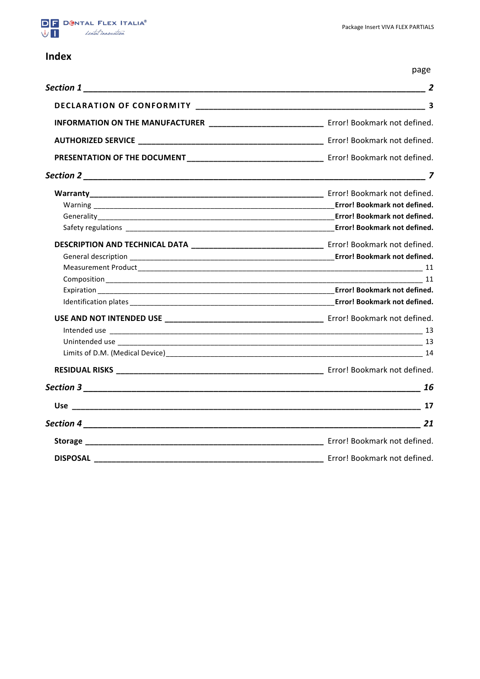

### **Index**

page

|                                                                                            | $\overline{2}$               |
|--------------------------------------------------------------------------------------------|------------------------------|
|                                                                                            |                              |
| INFORMATION ON THE MANUFACTURER _____________________________ Error! Bookmark not defined. |                              |
|                                                                                            |                              |
|                                                                                            |                              |
|                                                                                            |                              |
|                                                                                            |                              |
|                                                                                            | Error! Bookmark not defined. |
|                                                                                            |                              |
|                                                                                            |                              |
|                                                                                            |                              |
|                                                                                            |                              |
|                                                                                            |                              |
|                                                                                            |                              |
|                                                                                            |                              |
|                                                                                            |                              |
|                                                                                            |                              |
|                                                                                            |                              |
|                                                                                            |                              |
|                                                                                            |                              |
|                                                                                            |                              |
|                                                                                            |                              |
|                                                                                            |                              |
|                                                                                            |                              |
|                                                                                            |                              |
|                                                                                            | Error! Bookmark not defined. |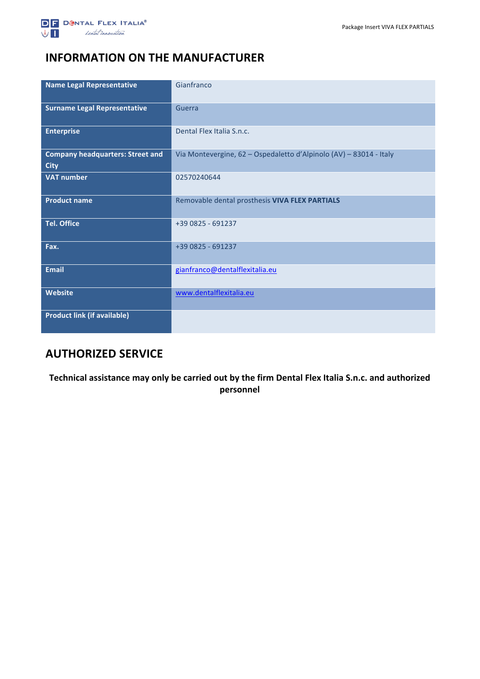## **INFORMATION ON THE MANUFACTURER**

| <b>Name Legal Representative</b>                       | Gianfranco                                                         |
|--------------------------------------------------------|--------------------------------------------------------------------|
| <b>Surname Legal Representative</b>                    | Guerra                                                             |
| <b>Enterprise</b>                                      | Dental Flex Italia S.n.c.                                          |
| <b>Company headquarters: Street and</b><br><b>City</b> | Via Montevergine, 62 - Ospedaletto d'Alpinolo (AV) - 83014 - Italy |
| <b>VAT number</b>                                      | 02570240644                                                        |
| <b>Product name</b>                                    | Removable dental prosthesis VIVA FLEX PARTIALS                     |
| <b>Tel. Office</b>                                     | +39 0825 - 691237                                                  |
| Fax.                                                   | +39 0825 - 691237                                                  |
| <b>Email</b>                                           | gianfranco@dentalflexitalia.eu                                     |
| Website                                                | www.dentalflexitalia.eu                                            |
| <b>Product link (if available)</b>                     |                                                                    |

## **AUTHORIZED SERVICE**

Technical assistance may only be carried out by the firm Dental Flex Italia S.n.c. and authorized **personnel**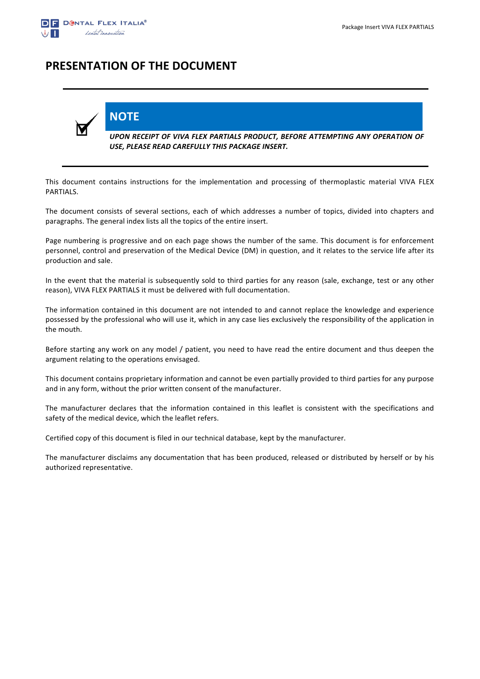

## **PRESENTATION OF THE DOCUMENT**

**NOTE**



*UPON RECEIPT OF VIVA FLEX PARTIALS PRODUCT, BEFORE ATTEMPTING ANY OPERATION OF*  USE, PLEASE READ CAREFULLY THIS PACKAGE INSERT.

This document contains instructions for the implementation and processing of thermoplastic material VIVA FLEX PARTIALS.

The document consists of several sections, each of which addresses a number of topics, divided into chapters and paragraphs. The general index lists all the topics of the entire insert.

Page numbering is progressive and on each page shows the number of the same. This document is for enforcement personnel, control and preservation of the Medical Device (DM) in question, and it relates to the service life after its production and sale.

In the event that the material is subsequently sold to third parties for any reason (sale, exchange, test or any other reason), VIVA FLEX PARTIALS it must be delivered with full documentation.

The information contained in this document are not intended to and cannot replace the knowledge and experience possessed by the professional who will use it, which in any case lies exclusively the responsibility of the application in the mouth.

Before starting any work on any model / patient, you need to have read the entire document and thus deepen the argument relating to the operations envisaged.

This document contains proprietary information and cannot be even partially provided to third parties for any purpose and in any form, without the prior written consent of the manufacturer.

The manufacturer declares that the information contained in this leaflet is consistent with the specifications and safety of the medical device, which the leaflet refers.

Certified copy of this document is filed in our technical database, kept by the manufacturer.

The manufacturer disclaims any documentation that has been produced, released or distributed by herself or by his authorized representative.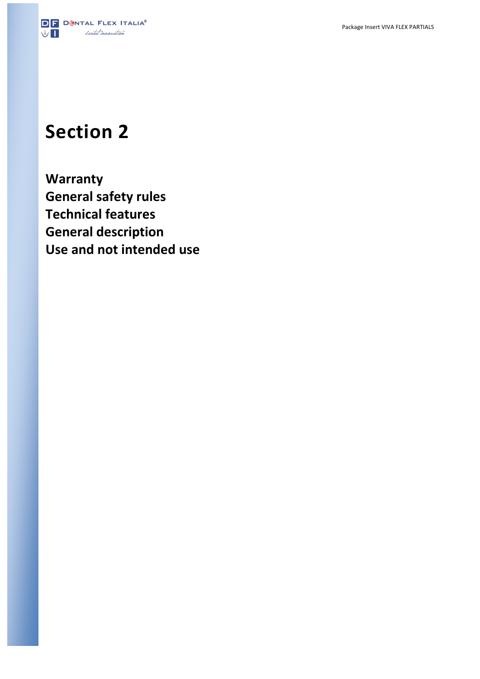

## **Section 2**

**Warranty General safety rules Technical features General description Use and not intended use**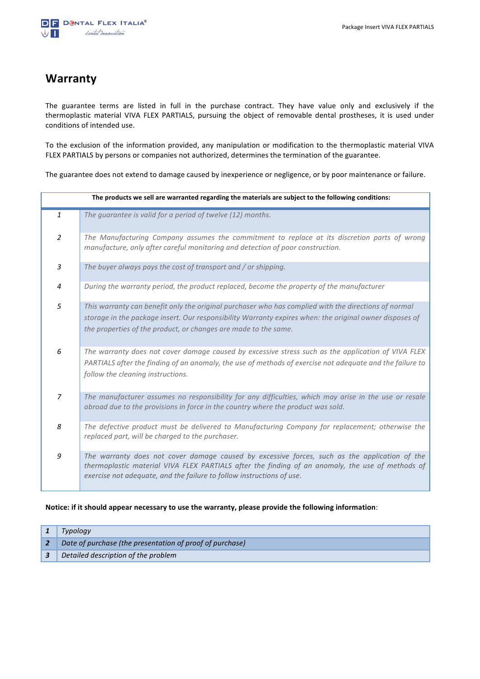## **Warranty**

The guarantee terms are listed in full in the purchase contract. They have value only and exclusively if the thermoplastic material VIVA FLEX PARTIALS, pursuing the object of removable dental prostheses, it is used under conditions of intended use.

To the exclusion of the information provided, any manipulation or modification to the thermoplastic material VIVA FLEX PARTIALS by persons or companies not authorized, determines the termination of the guarantee.

The guarantee does not extend to damage caused by inexperience or negligence, or by poor maintenance or failure.

| The products we sell are warranted regarding the materials are subject to the following conditions: |                                                                                                                                                                                                                                                                                    |  |  |
|-----------------------------------------------------------------------------------------------------|------------------------------------------------------------------------------------------------------------------------------------------------------------------------------------------------------------------------------------------------------------------------------------|--|--|
| $\mathbf{1}$                                                                                        | The guarantee is valid for a period of twelve (12) months.                                                                                                                                                                                                                         |  |  |
| 2                                                                                                   | The Manufacturing Company assumes the commitment to replace at its discretion parts of wrong<br>manufacture, only after careful monitoring and detection of poor construction.                                                                                                     |  |  |
| $\overline{3}$                                                                                      | The buyer always pays the cost of transport and / or shipping.                                                                                                                                                                                                                     |  |  |
| 4                                                                                                   | During the warranty period, the product replaced, become the property of the manufacturer                                                                                                                                                                                          |  |  |
| 5                                                                                                   | This warranty can benefit only the original purchaser who has complied with the directions of normal<br>storage in the package insert. Our responsibility Warranty expires when: the original owner disposes of<br>the properties of the product, or changes are made to the same. |  |  |
| 6                                                                                                   | The warranty does not cover damage caused by excessive stress such as the application of VIVA FLEX<br>PARTIALS after the finding of an anomaly, the use of methods of exercise not adequate and the failure to<br>follow the cleaning instructions.                                |  |  |
| $\overline{z}$                                                                                      | The manufacturer assumes no responsibility for any difficulties, which may arise in the use or resale<br>abroad due to the provisions in force in the country where the product was sold.                                                                                          |  |  |
| 8                                                                                                   | The defective product must be delivered to Manufacturing Company for replacement; otherwise the<br>replaced part, will be charged to the purchaser.                                                                                                                                |  |  |
| 9                                                                                                   | The warranty does not cover damage caused by excessive forces, such as the application of the<br>thermoplastic material VIVA FLEX PARTIALS after the finding of an anomaly, the use of methods of<br>exercise not adequate, and the failure to follow instructions of use.         |  |  |

#### Notice: if it should appear necessary to use the warranty, please provide the following information:

| Typology                                                 |
|----------------------------------------------------------|
| Date of purchase (the presentation of proof of purchase) |
| Detailed description of the problem                      |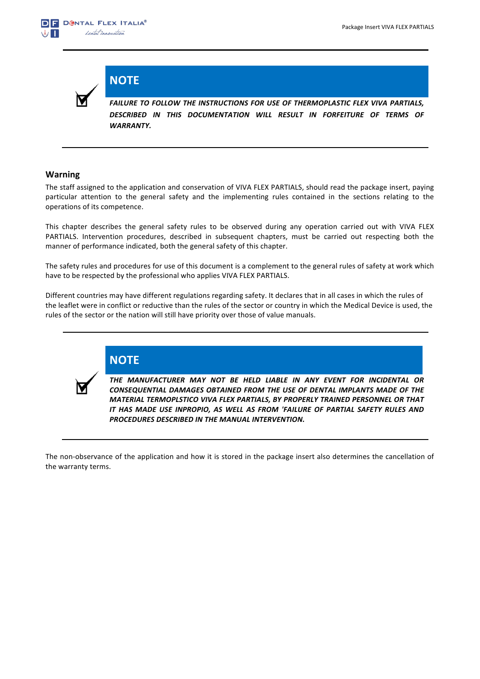

**NOTE**

**FAILURE TO FOLLOW THE INSTRUCTIONS FOR USE OF THERMOPLASTIC FLEX VIVA PARTIALS,** DESCRIBED IN THIS DOCUMENTATION WILL RESULT IN FORFEITURE OF TERMS OF *WARRANTY.*

#### **Warning**

The staff assigned to the application and conservation of VIVA FLEX PARTIALS, should read the package insert, paying particular attention to the general safety and the implementing rules contained in the sections relating to the operations of its competence.

This chapter describes the general safety rules to be observed during any operation carried out with VIVA FLEX PARTIALS. Intervention procedures, described in subsequent chapters, must be carried out respecting both the manner of performance indicated, both the general safety of this chapter.

The safety rules and procedures for use of this document is a complement to the general rules of safety at work which have to be respected by the professional who applies VIVA FLEX PARTIALS.

Different countries may have different regulations regarding safety. It declares that in all cases in which the rules of the leaflet were in conflict or reductive than the rules of the sector or country in which the Medical Device is used, the rules of the sector or the nation will still have priority over those of value manuals.



**NOTE**

THE MANUFACTURER MAY NOT BE HELD LIABLE IN ANY EVENT FOR INCIDENTAL OR **CONSEQUENTIAL DAMAGES OBTAINED FROM THE USE OF DENTAL IMPLANTS MADE OF THE MATERIAL TERMOPLSTICO VIVA FLEX PARTIALS, BY PROPERLY TRAINED PERSONNEL OR THAT** IT HAS MADE USE INPROPIO, AS WELL AS FROM 'FAILURE OF PARTIAL SAFETY RULES AND **PROCEDURES DESCRIBED IN THE MANUAL INTERVENTION.** 

The non-observance of the application and how it is stored in the package insert also determines the cancellation of the warranty terms.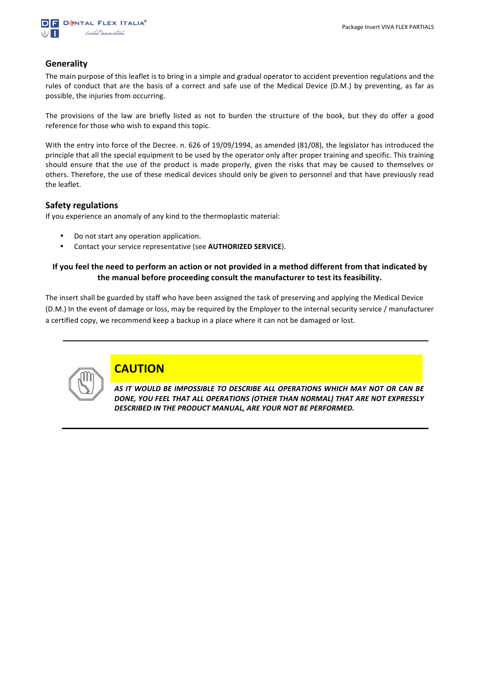

#### **Generality**

The main purpose of this leaflet is to bring in a simple and gradual operator to accident prevention regulations and the rules of conduct that are the basis of a correct and safe use of the Medical Device (D.M.) by preventing, as far as possible, the injuries from occurring.

The provisions of the law are briefly listed as not to burden the structure of the book, but they do offer a good reference for those who wish to expand this topic.

With the entry into force of the Decree. n. 626 of 19/09/1994, as amended (81/08), the legislator has introduced the principle that all the special equipment to be used by the operator only after proper training and specific. This training should ensure that the use of the product is made properly, given the risks that may be caused to themselves or others. Therefore, the use of these medical devices should only be given to personnel and that have previously read the leaflet.

#### **Safety regulations**

If you experience an anomaly of any kind to the thermoplastic material:

- Do not start any operation application.
- Contact your service representative (see **AUTHORIZED SERVICE**).

#### **If you feel the need to perform an action or not provided in a method different from that indicated by** the manual before proceeding consult the manufacturer to test its feasibility.

The insert shall be guarded by staff who have been assigned the task of preserving and applying the Medical Device (D.M.) In the event of damage or loss, may be required by the Employer to the internal security service / manufacturer a certified copy, we recommend keep a backup in a place where it can not be damaged or lost.



### **CAUTION**

AS IT WOULD BE IMPOSSIBLE TO DESCRIBE ALL OPERATIONS WHICH MAY NOT OR CAN BE DONE, YOU FEEL THAT ALL OPERATIONS (OTHER THAN NORMAL) THAT ARE NOT EXPRESSLY DESCRIBED IN THE PRODUCT MANUAL, ARE YOUR NOT BE PERFORMED.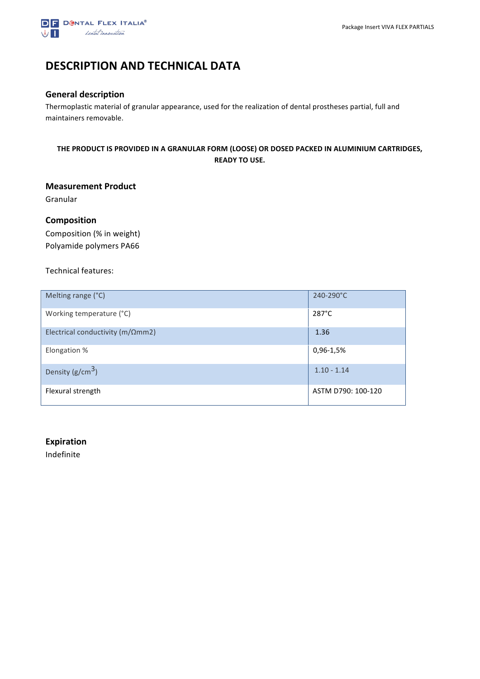

## **DESCRIPTION AND TECHNICAL DATA**

#### **General description**

Thermoplastic material of granular appearance, used for the realization of dental prostheses partial, full and maintainers removable.

#### THE PRODUCT IS PROVIDED IN A GRANULAR FORM (LOOSE) OR DOSED PACKED IN ALUMINIUM CARTRIDGES, **READY TO USE.**

#### **Measurement Product**

Granular

#### **Composition**

Composition (% in weight) Polyamide polymers PA66

#### Technical features:

| Melting range (°C)                        | 240-290°C          |
|-------------------------------------------|--------------------|
| Working temperature (°C)                  | $287^{\circ}$ C    |
| Electrical conductivity ( $m/\Omega$ mm2) | 1.36               |
| Elongation %                              | 0,96-1,5%          |
| Density $(g/cm^3)$                        | $1.10 - 1.14$      |
| Flexural strength                         | ASTM D790: 100-120 |

#### **Expiration**

Indefinite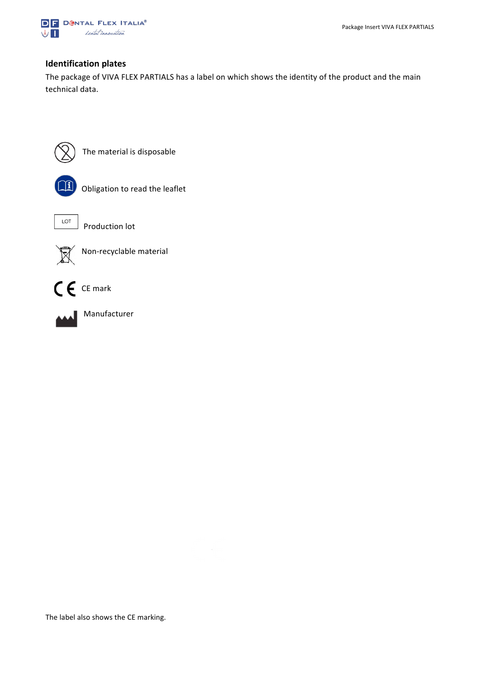

#### **Identification plates**

The package of VIVA FLEX PARTIALS has a label on which shows the identity of the product and the main technical data.



The material is disposable



Obligation to read the leaflet



 $\begin{array}{c|c}\n\hline\n\end{array}$  Production lot



Non-recyclable material





 Manufacturer

The label also shows the CE marking.

 $\mathbb{L}$ 

 $\overline{\phantom{a}}$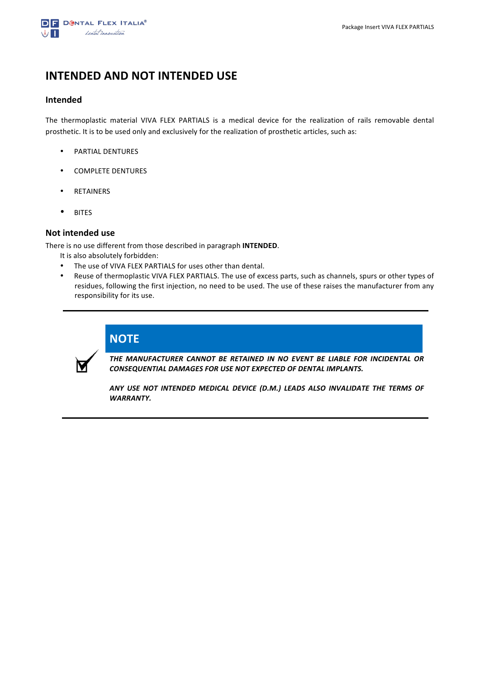

### **INTENDED AND NOT INTENDED USE**

#### **Intended**

The thermoplastic material VIVA FLEX PARTIALS is a medical device for the realization of rails removable dental prosthetic. It is to be used only and exclusively for the realization of prosthetic articles, such as:

- PARTIAL DENTURES
- COMPLETE DENTURES
- RETAINERS
- BITES

#### **Not intended use**

There is no use different from those described in paragraph **INTENDED**.

It is also absolutely forbidden:

- The use of VIVA FLEX PARTIALS for uses other than dental.
- Reuse of thermoplastic VIVA FLEX PARTIALS. The use of excess parts, such as channels, spurs or other types of residues, following the first injection, no need to be used. The use of these raises the manufacturer from any responsibility for its use.



THE MANUFACTURER CANNOT BE RETAINED IN NO EVENT BE LIABLE FOR INCIDENTAL OR **CONSEQUENTIAL DAMAGES FOR USE NOT EXPECTED OF DENTAL IMPLANTS.** 

ANY USE NOT INTENDED MEDICAL DEVICE (D.M.) LEADS ALSO INVALIDATE THE TERMS OF *WARRANTY.*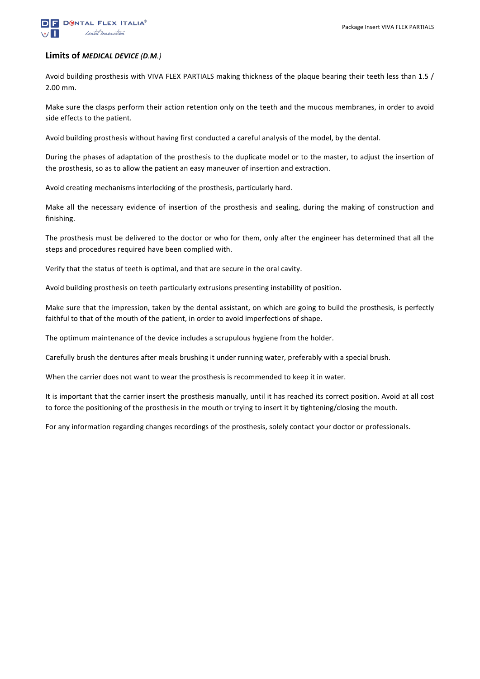

#### **Limits of** *MEDICAL DEVICE (D.M.)*

Avoid building prosthesis with VIVA FLEX PARTIALS making thickness of the plaque bearing their teeth less than 1.5 / 2.00 mm.

Make sure the clasps perform their action retention only on the teeth and the mucous membranes, in order to avoid side effects to the patient.

Avoid building prosthesis without having first conducted a careful analysis of the model, by the dental.

During the phases of adaptation of the prosthesis to the duplicate model or to the master, to adjust the insertion of the prosthesis, so as to allow the patient an easy maneuver of insertion and extraction.

Avoid creating mechanisms interlocking of the prosthesis, particularly hard.

Make all the necessary evidence of insertion of the prosthesis and sealing, during the making of construction and finishing.

The prosthesis must be delivered to the doctor or who for them, only after the engineer has determined that all the steps and procedures required have been complied with.

Verify that the status of teeth is optimal, and that are secure in the oral cavity.

Avoid building prosthesis on teeth particularly extrusions presenting instability of position.

Make sure that the impression, taken by the dental assistant, on which are going to build the prosthesis, is perfectly faithful to that of the mouth of the patient, in order to avoid imperfections of shape.

The optimum maintenance of the device includes a scrupulous hygiene from the holder.

Carefully brush the dentures after meals brushing it under running water, preferably with a special brush.

When the carrier does not want to wear the prosthesis is recommended to keep it in water.

It is important that the carrier insert the prosthesis manually, until it has reached its correct position. Avoid at all cost to force the positioning of the prosthesis in the mouth or trying to insert it by tightening/closing the mouth.

For any information regarding changes recordings of the prosthesis, solely contact your doctor or professionals.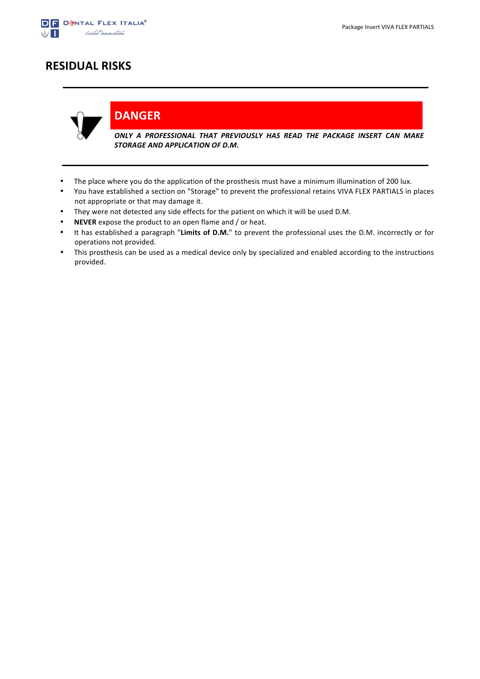

## **RESIDUAL RISKS**



**DANGER**

ONLY A PROFESSIONAL THAT PREVIOUSLY HAS READ THE PACKAGE INSERT CAN MAKE **STORAGE AND APPLICATION OF D.M.** 

- The place where you do the application of the prosthesis must have a minimum illumination of 200 lux.
- You have established a section on "Storage" to prevent the professional retains VIVA FLEX PARTIALS in places not appropriate or that may damage it.
- They were not detected any side effects for the patient on which it will be used D.M.
- **NEVER** expose the product to an open flame and / or heat.
- It has established a paragraph "Limits of D.M." to prevent the professional uses the D.M. incorrectly or for operations not provided.
- This prosthesis can be used as a medical device only by specialized and enabled according to the instructions provided.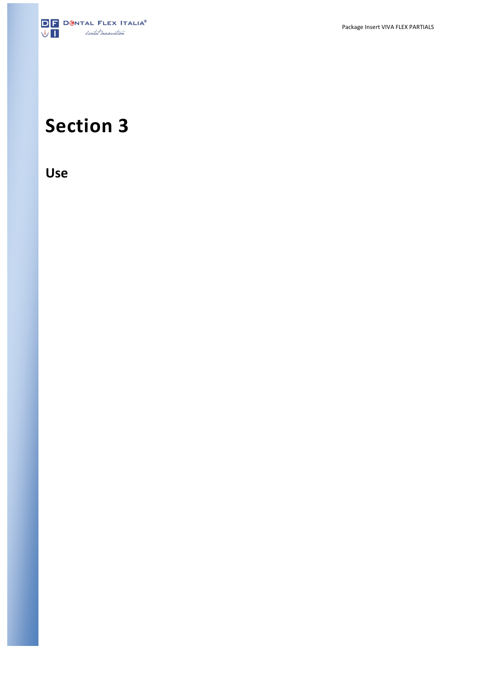

# **Section 3**

**Use**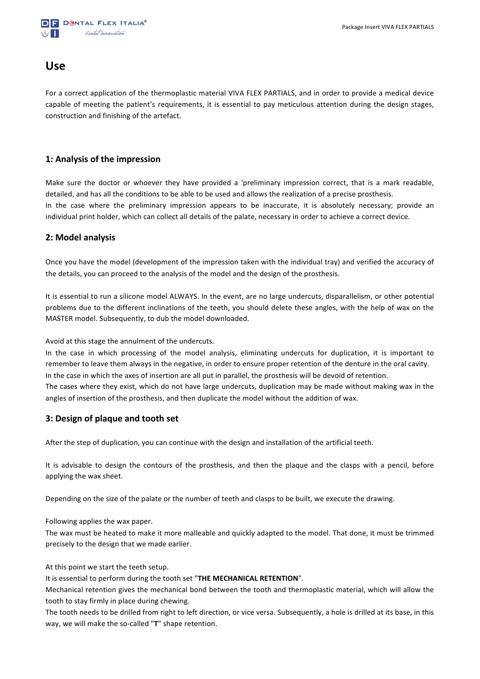

### **Use**

For a correct application of the thermoplastic material VIVA FLEX PARTIALS, and in order to provide a medical device capable of meeting the patient's requirements, it is essential to pay meticulous attention during the design stages, construction and finishing of the artefact.

#### **1: Analysis of the impression**

Make sure the doctor or whoever they have provided a 'preliminary impression correct, that is a mark readable, detailed, and has all the conditions to be able to be used and allows the realization of a precise prosthesis. In the case where the preliminary impression appears to be inaccurate, it is absolutely necessary; provide an individual print holder, which can collect all details of the palate, necessary in order to achieve a correct device.

#### **2: Model analysis**

Once you have the model (development of the impression taken with the individual tray) and verified the accuracy of the details, you can proceed to the analysis of the model and the design of the prosthesis.

It is essential to run a silicone model ALWAYS. In the event, are no large undercuts, disparallelism, or other potential problems due to the different inclinations of the teeth, you should delete these angles, with the help of wax on the MASTER model. Subsequently, to dub the model downloaded.

Avoid at this stage the annulment of the undercuts.

In the case in which processing of the model analysis, eliminating undercuts for duplication, it is important to remember to leave them always in the negative, in order to ensure proper retention of the denture in the oral cavity. In the case in which the axes of insertion are all put in parallel, the prosthesis will be devoid of retention. The cases where they exist, which do not have large undercuts, duplication may be made without making wax in the angles of insertion of the prosthesis, and then duplicate the model without the addition of wax.

#### **3: Design of plaque and tooth set**

After the step of duplication, you can continue with the design and installation of the artificial teeth.

It is advisable to design the contours of the prosthesis, and then the plaque and the clasps with a pencil, before applying the wax sheet.

Depending on the size of the palate or the number of teeth and clasps to be built, we execute the drawing.

Following applies the wax paper.

The wax must be heated to make it more malleable and quickly adapted to the model. That done, it must be trimmed precisely to the design that we made earlier.

At this point we start the teeth setup.

It is essential to perform during the tooth set "THE MECHANICAL RETENTION".

Mechanical retention gives the mechanical bond between the tooth and thermoplastic material, which will allow the tooth to stay firmly in place during chewing.

The tooth needs to be drilled from right to left direction, or vice versa. Subsequently, a hole is drilled at its base, in this way, we will make the so-called "T" shape retention.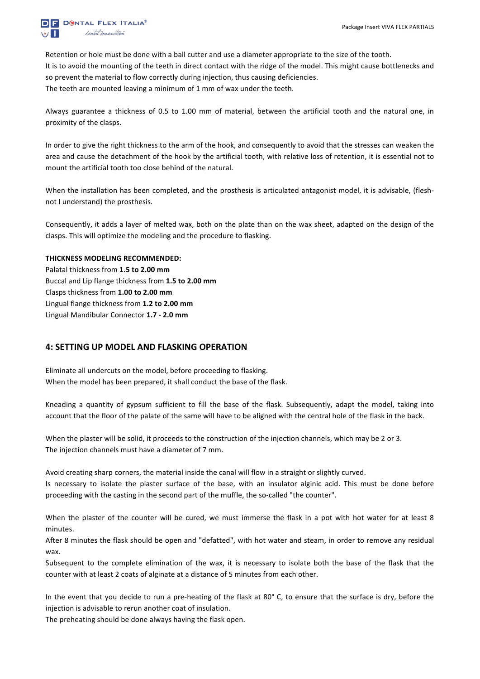

Retention or hole must be done with a ball cutter and use a diameter appropriate to the size of the tooth. It is to avoid the mounting of the teeth in direct contact with the ridge of the model. This might cause bottlenecks and so prevent the material to flow correctly during injection, thus causing deficiencies. The teeth are mounted leaving a minimum of 1 mm of wax under the teeth.

Always guarantee a thickness of 0.5 to 1.00 mm of material, between the artificial tooth and the natural one, in proximity of the clasps.

In order to give the right thickness to the arm of the hook, and consequently to avoid that the stresses can weaken the area and cause the detachment of the hook by the artificial tooth, with relative loss of retention, it is essential not to mount the artificial tooth too close behind of the natural.

When the installation has been completed, and the prosthesis is articulated antagonist model, it is advisable, (fleshnot I understand) the prosthesis.

Consequently, it adds a layer of melted wax, both on the plate than on the wax sheet, adapted on the design of the clasps. This will optimize the modeling and the procedure to flasking.

#### **THICKNESS MODELING RECOMMENDED:**

Palatal thickness from 1.5 to 2.00 mm Buccal and Lip flange thickness from **1.5 to 2.00 mm** Clasps thickness from **1.00 to 2.00 mm** Lingual flange thickness from 1.2 to 2.00 mm Lingual Mandibular Connector **1.7 - 2.0 mm**

#### **4: SETTING UP MODEL AND FLASKING OPERATION**

Eliminate all undercuts on the model, before proceeding to flasking. When the model has been prepared, it shall conduct the base of the flask.

Kneading a quantity of gypsum sufficient to fill the base of the flask. Subsequently, adapt the model, taking into account that the floor of the palate of the same will have to be aligned with the central hole of the flask in the back.

When the plaster will be solid, it proceeds to the construction of the injection channels, which may be 2 or 3. The injection channels must have a diameter of 7 mm.

Avoid creating sharp corners, the material inside the canal will flow in a straight or slightly curved.

Is necessary to isolate the plaster surface of the base, with an insulator alginic acid. This must be done before proceeding with the casting in the second part of the muffle, the so-called "the counter".

When the plaster of the counter will be cured, we must immerse the flask in a pot with hot water for at least 8 minutes.

After 8 minutes the flask should be open and "defatted", with hot water and steam, in order to remove any residual wax.

Subsequent to the complete elimination of the wax, it is necessary to isolate both the base of the flask that the counter with at least 2 coats of alginate at a distance of 5 minutes from each other.

In the event that you decide to run a pre-heating of the flask at 80° C, to ensure that the surface is dry, before the injection is advisable to rerun another coat of insulation.

The preheating should be done always having the flask open.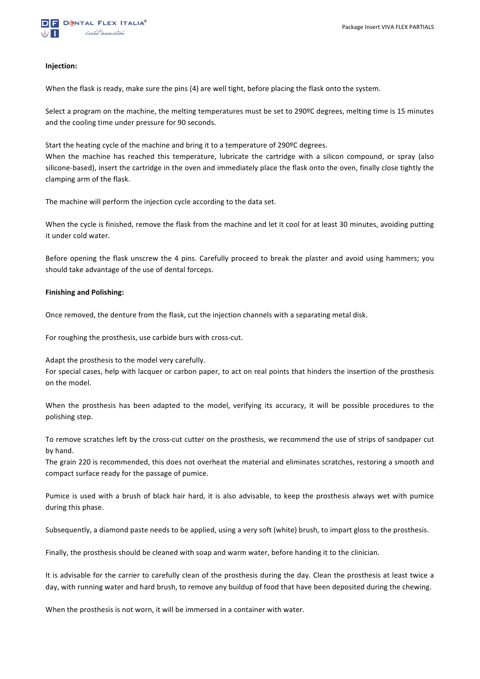#### **Injection:**

When the flask is ready, make sure the pins (4) are well tight, before placing the flask onto the system.

Select a program on the machine, the melting temperatures must be set to 290<sup>o</sup>C degrees, melting time is 15 minutes and the cooling time under pressure for 90 seconds.

Start the heating cycle of the machine and bring it to a temperature of  $290^{\circ}$ C degrees.

When the machine has reached this temperature, lubricate the cartridge with a silicon compound, or spray (also silicone-based), insert the cartridge in the oven and immediately place the flask onto the oven, finally close tightly the clamping arm of the flask.

The machine will perform the injection cycle according to the data set.

When the cycle is finished, remove the flask from the machine and let it cool for at least 30 minutes, avoiding putting it under cold water.

Before opening the flask unscrew the 4 pins. Carefully proceed to break the plaster and avoid using hammers; you should take advantage of the use of dental forceps.

#### **Finishing and Polishing:**

Once removed, the denture from the flask, cut the injection channels with a separating metal disk.

For roughing the prosthesis, use carbide burs with cross-cut.

Adapt the prosthesis to the model very carefully.

For special cases, help with lacquer or carbon paper, to act on real points that hinders the insertion of the prosthesis on the model.

When the prosthesis has been adapted to the model, verifying its accuracy, it will be possible procedures to the polishing step.

To remove scratches left by the cross-cut cutter on the prosthesis, we recommend the use of strips of sandpaper cut by hand.

The grain 220 is recommended, this does not overheat the material and eliminates scratches, restoring a smooth and compact surface ready for the passage of pumice.

Pumice is used with a brush of black hair hard, it is also advisable, to keep the prosthesis always wet with pumice during this phase.

Subsequently, a diamond paste needs to be applied, using a very soft (white) brush, to impart gloss to the prosthesis.

Finally, the prosthesis should be cleaned with soap and warm water, before handing it to the clinician.

It is advisable for the carrier to carefully clean of the prosthesis during the day. Clean the prosthesis at least twice a day, with running water and hard brush, to remove any buildup of food that have been deposited during the chewing.

When the prosthesis is not worn, it will be immersed in a container with water.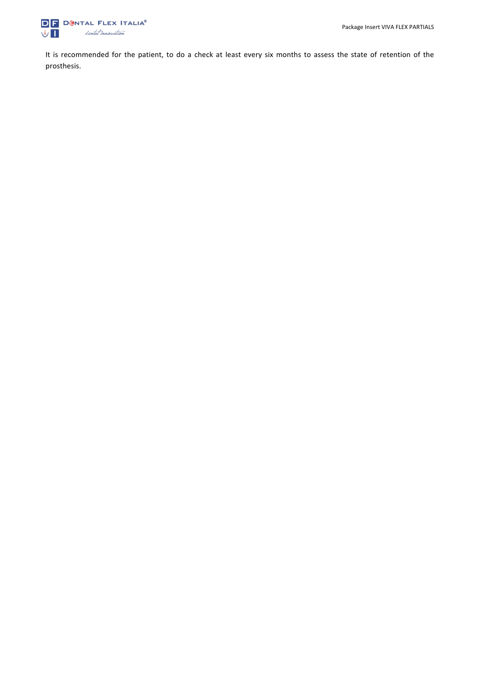

It is recommended for the patient, to do a check at least every six months to assess the state of retention of the prosthesis.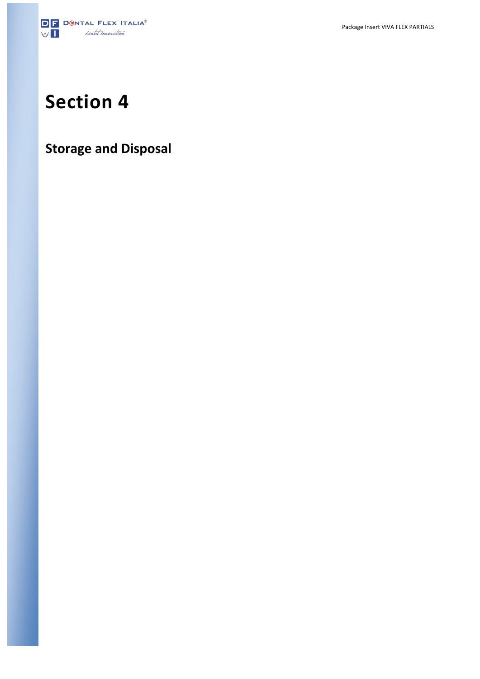

# **Section 4**

## **Storage and Disposal**